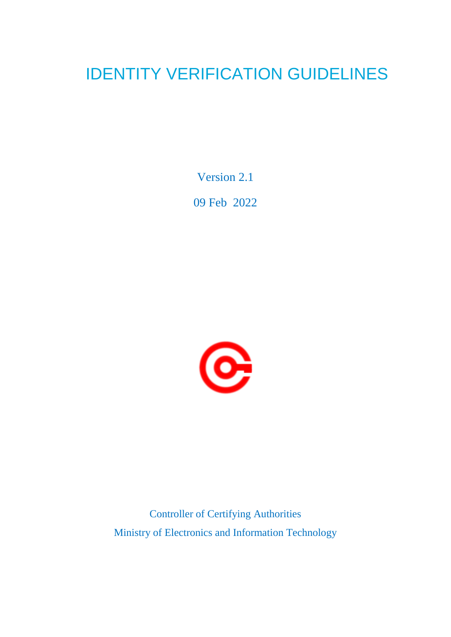# IDENTITY VERIFICATION GUIDELINES

Version 2.1

09 Feb 2022



Controller of Certifying Authorities Ministry of Electronics and Information Technology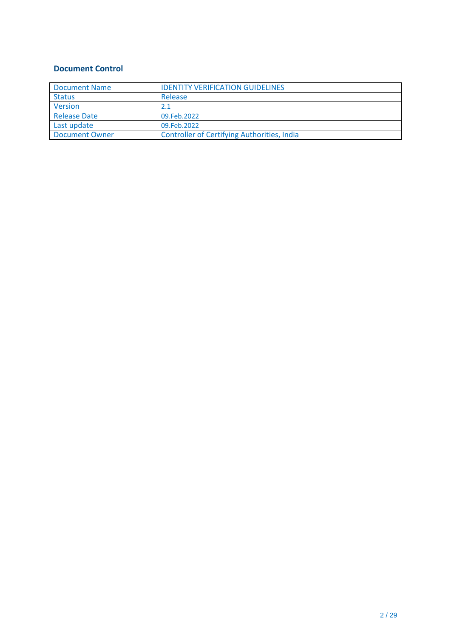### **Document Control**

| <b>Document Name</b> | <b>IDENTITY VERIFICATION GUIDELINES</b>            |
|----------------------|----------------------------------------------------|
| <b>Status</b>        | Release                                            |
| <b>Version</b>       | 2.1                                                |
| <b>Release Date</b>  | 09.Feb.2022                                        |
| Last update          | 09.Feb.2022                                        |
| Document Owner       | <b>Controller of Certifying Authorities, India</b> |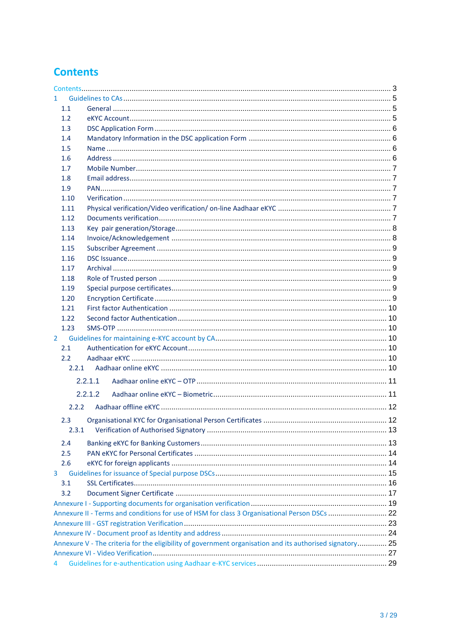# **Contents**

| 1.             |                                                                                                          |  |
|----------------|----------------------------------------------------------------------------------------------------------|--|
| 1.1            |                                                                                                          |  |
| 1.2            |                                                                                                          |  |
| 1.3            |                                                                                                          |  |
| 1.4            |                                                                                                          |  |
| 1.5            |                                                                                                          |  |
| 1.6            |                                                                                                          |  |
| 1.7            |                                                                                                          |  |
| 1.8            |                                                                                                          |  |
| 1.9            |                                                                                                          |  |
| 1.10           |                                                                                                          |  |
| 1.11           |                                                                                                          |  |
| 1.12           |                                                                                                          |  |
| 1.13           |                                                                                                          |  |
| 1.14           |                                                                                                          |  |
| 1.15           |                                                                                                          |  |
| 1.16           |                                                                                                          |  |
|                |                                                                                                          |  |
| 1.17           |                                                                                                          |  |
| 1.18           |                                                                                                          |  |
| 1.19           |                                                                                                          |  |
| 1.20           |                                                                                                          |  |
| 1.21           |                                                                                                          |  |
| 1.22           |                                                                                                          |  |
| 1.23           |                                                                                                          |  |
| $\overline{2}$ |                                                                                                          |  |
| 2.1            |                                                                                                          |  |
| $2.2^{\circ}$  |                                                                                                          |  |
| 2.2.1          |                                                                                                          |  |
|                | 2.2.1.1                                                                                                  |  |
|                | 2.2.1.2                                                                                                  |  |
| 2.2.2          |                                                                                                          |  |
|                |                                                                                                          |  |
| 2.3            |                                                                                                          |  |
| 2.3.1          |                                                                                                          |  |
| 2.4            |                                                                                                          |  |
| 2.5            |                                                                                                          |  |
| 2.6            |                                                                                                          |  |
| 3              |                                                                                                          |  |
| 3.1            |                                                                                                          |  |
| 3.2            |                                                                                                          |  |
|                |                                                                                                          |  |
|                | Annexure II - Terms and conditions for use of HSM for class 3 Organisational Person DSCs  22             |  |
|                |                                                                                                          |  |
|                |                                                                                                          |  |
|                | Annexure V - The criteria for the eligibility of government organisation and its authorised signatory 25 |  |
|                |                                                                                                          |  |
|                |                                                                                                          |  |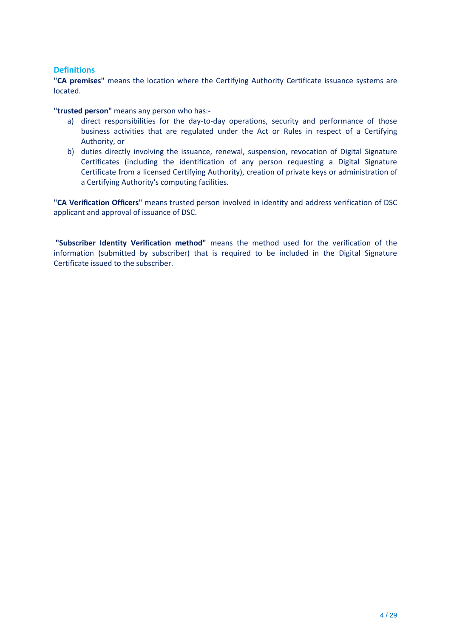#### **Definitions**

**"CA premises"** means the location where the Certifying Authority Certificate issuance systems are located.

**"trusted person"** means any person who has:-

- a) direct responsibilities for the day-to-day operations, security and performance of those business activities that are regulated under the Act or Rules in respect of a Certifying Authority, or
- b) duties directly involving the issuance, renewal, suspension, revocation of Digital Signature Certificates (including the identification of any person requesting a Digital Signature Certificate from a licensed Certifying Authority), creation of private keys or administration of a Certifying Authority's computing facilities.

**"CA Verification Officers"** means trusted person involved in identity and address verification of DSC applicant and approval of issuance of DSC.

**"Subscriber Identity Verification method"** means the method used for the verification of the information (submitted by subscriber) that is required to be included in the Digital Signature Certificate issued to the subscriber.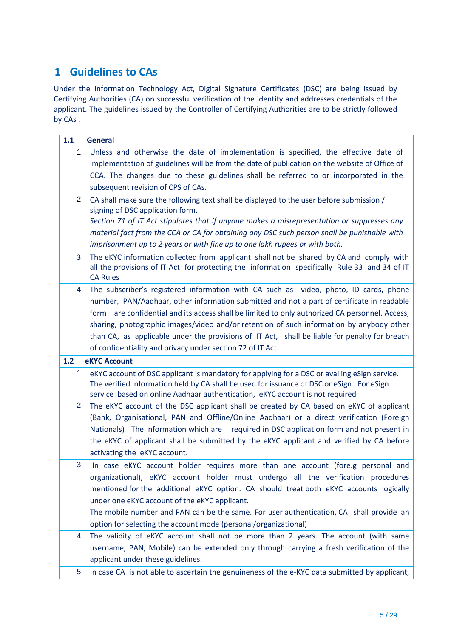## **1 Guidelines to CAs**

Under the Information Technology Act, Digital Signature Certificates (DSC) are being issued by Certifying Authorities (CA) on successful verification of the identity and addresses credentials of the applicant. The guidelines issued by the Controller of Certifying Authorities are to be strictly followed by CAs .

| 1.1 | <b>General</b>                                                                                                                                                                                                                                                                                                                                                                                                                                                                                                                                   |
|-----|--------------------------------------------------------------------------------------------------------------------------------------------------------------------------------------------------------------------------------------------------------------------------------------------------------------------------------------------------------------------------------------------------------------------------------------------------------------------------------------------------------------------------------------------------|
| 1.  | Unless and otherwise the date of implementation is specified, the effective date of<br>implementation of guidelines will be from the date of publication on the website of Office of<br>CCA. The changes due to these guidelines shall be referred to or incorporated in the<br>subsequent revision of CPS of CAs.                                                                                                                                                                                                                               |
| 2.  | CA shall make sure the following text shall be displayed to the user before submission /<br>signing of DSC application form.<br>Section 71 of IT Act stipulates that if anyone makes a misrepresentation or suppresses any<br>material fact from the CCA or CA for obtaining any DSC such person shall be punishable with<br>imprisonment up to 2 years or with fine up to one lakh rupees or with both.                                                                                                                                         |
| 3.  | The eKYC information collected from applicant shall not be shared by CA and comply with<br>all the provisions of IT Act for protecting the information specifically Rule 33 and 34 of IT<br><b>CA Rules</b>                                                                                                                                                                                                                                                                                                                                      |
| 4.  | The subscriber's registered information with CA such as video, photo, ID cards, phone<br>number, PAN/Aadhaar, other information submitted and not a part of certificate in readable<br>form are confidential and its access shall be limited to only authorized CA personnel. Access,<br>sharing, photographic images/video and/or retention of such information by anybody other<br>than CA, as applicable under the provisions of IT Act, shall be liable for penalty for breach<br>of confidentiality and privacy under section 72 of IT Act. |
| 1.2 | <b>eKYC Account</b>                                                                                                                                                                                                                                                                                                                                                                                                                                                                                                                              |
| 1.  | eKYC account of DSC applicant is mandatory for applying for a DSC or availing eSign service.<br>The verified information held by CA shall be used for issuance of DSC or eSign. For eSign<br>service based on online Aadhaar authentication, eKYC account is not required                                                                                                                                                                                                                                                                        |
| 2.  | The eKYC account of the DSC applicant shall be created by CA based on eKYC of applicant<br>(Bank, Organisational, PAN and Offline/Online Aadhaar) or a direct verification (Foreign<br>Nationals). The information which are required in DSC application form and not present in<br>the eKYC of applicant shall be submitted by the eKYC applicant and verified by CA before<br>activating the eKYC account.                                                                                                                                     |
| 3.  | In case eKYC account holder requires more than one account (fore.g personal and<br>organizational), eKYC account holder must undergo all the verification procedures<br>mentioned for the additional eKYC option. CA should treat both eKYC accounts logically<br>under one eKYC account of the eKYC applicant.<br>The mobile number and PAN can be the same. For user authentication, CA shall provide an<br>option for selecting the account mode (personal/organizational)                                                                    |
| 4.  | The validity of eKYC account shall not be more than 2 years. The account (with same<br>username, PAN, Mobile) can be extended only through carrying a fresh verification of the<br>applicant under these guidelines.                                                                                                                                                                                                                                                                                                                             |
| 5.  | In case CA is not able to ascertain the genuineness of the e-KYC data submitted by applicant,                                                                                                                                                                                                                                                                                                                                                                                                                                                    |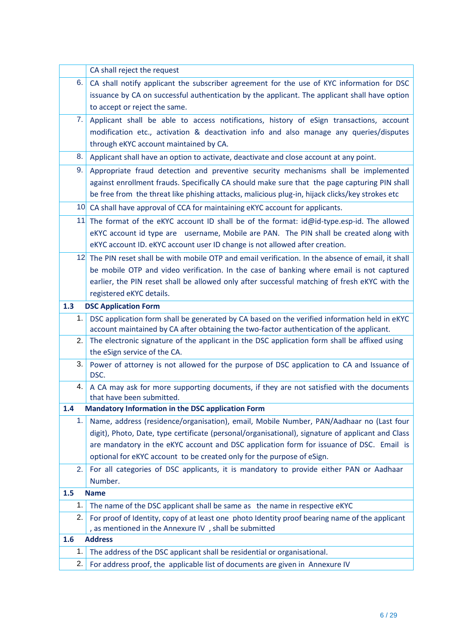|     | CA shall reject the request                                                                                                                                                                  |
|-----|----------------------------------------------------------------------------------------------------------------------------------------------------------------------------------------------|
| 6.  | CA shall notify applicant the subscriber agreement for the use of KYC information for DSC                                                                                                    |
|     | issuance by CA on successful authentication by the applicant. The applicant shall have option                                                                                                |
|     | to accept or reject the same.                                                                                                                                                                |
| 7.  | Applicant shall be able to access notifications, history of eSign transactions, account                                                                                                      |
|     | modification etc., activation & deactivation info and also manage any queries/disputes                                                                                                       |
|     | through eKYC account maintained by CA.                                                                                                                                                       |
| 8.  | Applicant shall have an option to activate, deactivate and close account at any point.                                                                                                       |
| 9.  | Appropriate fraud detection and preventive security mechanisms shall be implemented                                                                                                          |
|     | against enrollment frauds. Specifically CA should make sure that the page capturing PIN shall                                                                                                |
|     | be free from the threat like phishing attacks, malicious plug-in, hijack clicks/key strokes etc                                                                                              |
|     | 10 CA shall have approval of CCA for maintaining eKYC account for applicants.                                                                                                                |
| 11  | The format of the eKYC account ID shall be of the format: id@id-type.esp-id. The allowed                                                                                                     |
|     | eKYC account id type are username, Mobile are PAN. The PIN shall be created along with                                                                                                       |
|     | eKYC account ID. eKYC account user ID change is not allowed after creation.                                                                                                                  |
|     | 12 The PIN reset shall be with mobile OTP and email verification. In the absence of email, it shall                                                                                          |
|     | be mobile OTP and video verification. In the case of banking where email is not captured                                                                                                     |
|     | earlier, the PIN reset shall be allowed only after successful matching of fresh eKYC with the                                                                                                |
|     | registered eKYC details.                                                                                                                                                                     |
| 1.3 | <b>DSC Application Form</b>                                                                                                                                                                  |
| 1.  | DSC application form shall be generated by CA based on the verified information held in eKYC                                                                                                 |
|     | account maintained by CA after obtaining the two-factor authentication of the applicant.                                                                                                     |
| 2.  | The electronic signature of the applicant in the DSC application form shall be affixed using<br>the eSign service of the CA.                                                                 |
| 3.  |                                                                                                                                                                                              |
|     | Power of attorney is not allowed for the purpose of DSC application to CA and Issuance of<br>DSC.                                                                                            |
| 4.  | A CA may ask for more supporting documents, if they are not satisfied with the documents                                                                                                     |
|     | that have been submitted.                                                                                                                                                                    |
| 1.4 | <b>Mandatory Information in the DSC application Form</b>                                                                                                                                     |
| 1.  | Name, address (residence/organisation), email, Mobile Number, PAN/Aadhaar no (Last four<br>digit), Photo, Date, type certificate (personal/organisational), signature of applicant and Class |
|     | are mandatory in the eKYC account and DSC application form for issuance of DSC. Email is                                                                                                     |
|     | optional for eKYC account to be created only for the purpose of eSign.                                                                                                                       |
| 2.  | For all categories of DSC applicants, it is mandatory to provide either PAN or Aadhaar                                                                                                       |
|     | Number.                                                                                                                                                                                      |
| 1.5 | <b>Name</b>                                                                                                                                                                                  |
| 1.  | The name of the DSC applicant shall be same as the name in respective eKYC                                                                                                                   |
| 2.  | For proof of Identity, copy of at least one photo Identity proof bearing name of the applicant                                                                                               |
|     | , as mentioned in the Annexure IV, shall be submitted                                                                                                                                        |
| 1.6 | <b>Address</b>                                                                                                                                                                               |
| 1.  | The address of the DSC applicant shall be residential or organisational.                                                                                                                     |
| 2.  | For address proof, the applicable list of documents are given in Annexure IV                                                                                                                 |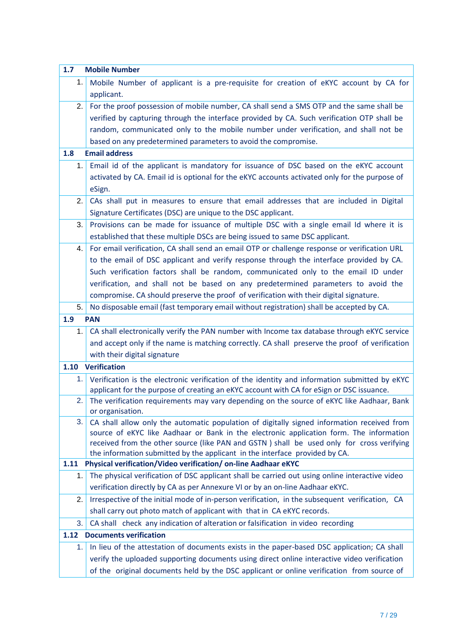| 1.7  | <b>Mobile Number</b>                                                                                                                                                                  |
|------|---------------------------------------------------------------------------------------------------------------------------------------------------------------------------------------|
| 1.   | Mobile Number of applicant is a pre-requisite for creation of eKYC account by CA for                                                                                                  |
|      | applicant.                                                                                                                                                                            |
| 2.   | For the proof possession of mobile number, CA shall send a SMS OTP and the same shall be                                                                                              |
|      | verified by capturing through the interface provided by CA. Such verification OTP shall be                                                                                            |
|      | random, communicated only to the mobile number under verification, and shall not be                                                                                                   |
|      | based on any predetermined parameters to avoid the compromise.                                                                                                                        |
| 1.8  | <b>Email address</b>                                                                                                                                                                  |
| 1.   | Email id of the applicant is mandatory for issuance of DSC based on the eKYC account                                                                                                  |
|      | activated by CA. Email id is optional for the eKYC accounts activated only for the purpose of                                                                                         |
|      | eSign.                                                                                                                                                                                |
| 2.   | CAs shall put in measures to ensure that email addresses that are included in Digital                                                                                                 |
|      | Signature Certificates (DSC) are unique to the DSC applicant.                                                                                                                         |
| 3.   | Provisions can be made for issuance of multiple DSC with a single email Id where it is                                                                                                |
|      | established that these multiple DSCs are being issued to same DSC applicant.                                                                                                          |
| 4.   | For email verification, CA shall send an email OTP or challenge response or verification URL                                                                                          |
|      | to the email of DSC applicant and verify response through the interface provided by CA.                                                                                               |
|      | Such verification factors shall be random, communicated only to the email ID under                                                                                                    |
|      | verification, and shall not be based on any predetermined parameters to avoid the                                                                                                     |
|      | compromise. CA should preserve the proof of verification with their digital signature.                                                                                                |
| 5.   | No disposable email (fast temporary email without registration) shall be accepted by CA.                                                                                              |
| 1.9  | <b>PAN</b>                                                                                                                                                                            |
| 1.   | CA shall electronically verify the PAN number with Income tax database through eKYC service                                                                                           |
|      | and accept only if the name is matching correctly. CA shall preserve the proof of verification                                                                                        |
|      | with their digital signature                                                                                                                                                          |
| 1.10 | <b>Verification</b>                                                                                                                                                                   |
| 1.   | Verification is the electronic verification of the identity and information submitted by eKYC                                                                                         |
|      | applicant for the purpose of creating an eKYC account with CA for eSign or DSC issuance.                                                                                              |
| 2.   | The verification requirements may vary depending on the source of eKYC like Aadhaar, Bank                                                                                             |
| 3.   | or organisation.                                                                                                                                                                      |
|      | CA shall allow only the automatic population of digitally signed information received from<br>source of eKYC like Aadhaar or Bank in the electronic application form. The information |
|      | received from the other source (like PAN and GSTN) shall be used only for cross verifying                                                                                             |
|      | the information submitted by the applicant in the interface provided by CA.                                                                                                           |
| 1.11 | Physical verification/Video verification/ on-line Aadhaar eKYC                                                                                                                        |
| 1.   | The physical verification of DSC applicant shall be carried out using online interactive video                                                                                        |
|      | verification directly by CA as per Annexure VI or by an on-line Aadhaar eKYC.                                                                                                         |
| 2.   | Irrespective of the initial mode of in-person verification, in the subsequent verification, CA                                                                                        |
|      | shall carry out photo match of applicant with that in CA eKYC records.                                                                                                                |
| 3.   | CA shall check any indication of alteration or falsification in video recording                                                                                                       |
| 1.12 | <b>Documents verification</b>                                                                                                                                                         |
| 1.   | In lieu of the attestation of documents exists in the paper-based DSC application; CA shall                                                                                           |
|      | verify the uploaded supporting documents using direct online interactive video verification                                                                                           |
|      | of the original documents held by the DSC applicant or online verification from source of                                                                                             |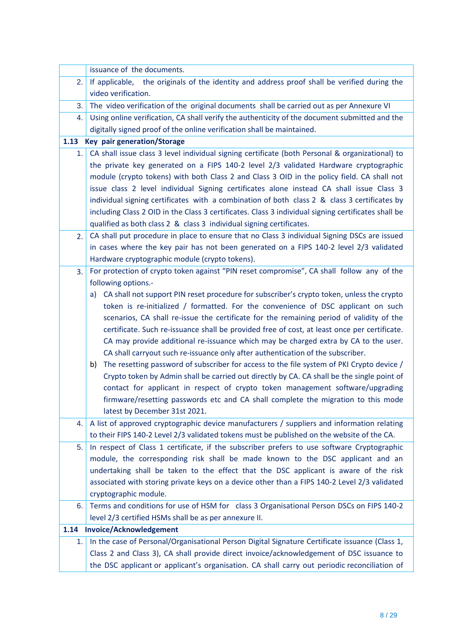|      | issuance of the documents.                                                                                                                                                                                                                                                                                                                                                                                                                                                                                                                                                                                                                                                                                                                                                                                                                                       |
|------|------------------------------------------------------------------------------------------------------------------------------------------------------------------------------------------------------------------------------------------------------------------------------------------------------------------------------------------------------------------------------------------------------------------------------------------------------------------------------------------------------------------------------------------------------------------------------------------------------------------------------------------------------------------------------------------------------------------------------------------------------------------------------------------------------------------------------------------------------------------|
| 2.   | If applicable, the originals of the identity and address proof shall be verified during the                                                                                                                                                                                                                                                                                                                                                                                                                                                                                                                                                                                                                                                                                                                                                                      |
|      | video verification.                                                                                                                                                                                                                                                                                                                                                                                                                                                                                                                                                                                                                                                                                                                                                                                                                                              |
| 3.   | The video verification of the original documents shall be carried out as per Annexure VI                                                                                                                                                                                                                                                                                                                                                                                                                                                                                                                                                                                                                                                                                                                                                                         |
| 4.   | Using online verification, CA shall verify the authenticity of the document submitted and the                                                                                                                                                                                                                                                                                                                                                                                                                                                                                                                                                                                                                                                                                                                                                                    |
|      | digitally signed proof of the online verification shall be maintained.                                                                                                                                                                                                                                                                                                                                                                                                                                                                                                                                                                                                                                                                                                                                                                                           |
| 1.13 | <b>Key pair generation/Storage</b>                                                                                                                                                                                                                                                                                                                                                                                                                                                                                                                                                                                                                                                                                                                                                                                                                               |
| 1.1  | CA shall issue class 3 level individual signing certificate (both Personal & organizational) to<br>the private key generated on a FIPS 140-2 level 2/3 validated Hardware cryptographic<br>module (crypto tokens) with both Class 2 and Class 3 OID in the policy field. CA shall not<br>issue class 2 level individual Signing certificates alone instead CA shall issue Class 3<br>individual signing certificates with a combination of both class 2 & class 3 certificates by<br>including Class 2 OID in the Class 3 certificates. Class 3 individual signing certificates shall be                                                                                                                                                                                                                                                                         |
|      | qualified as both class 2 & class 3 individual signing certificates.<br>CA shall put procedure in place to ensure that no Class 3 individual Signing DSCs are issued                                                                                                                                                                                                                                                                                                                                                                                                                                                                                                                                                                                                                                                                                             |
| 2.   | in cases where the key pair has not been generated on a FIPS 140-2 level 2/3 validated<br>Hardware cryptographic module (crypto tokens).                                                                                                                                                                                                                                                                                                                                                                                                                                                                                                                                                                                                                                                                                                                         |
| 3.   | For protection of crypto token against "PIN reset compromise", CA shall follow any of the                                                                                                                                                                                                                                                                                                                                                                                                                                                                                                                                                                                                                                                                                                                                                                        |
|      | following options.-                                                                                                                                                                                                                                                                                                                                                                                                                                                                                                                                                                                                                                                                                                                                                                                                                                              |
|      | CA shall not support PIN reset procedure for subscriber's crypto token, unless the crypto<br>a)                                                                                                                                                                                                                                                                                                                                                                                                                                                                                                                                                                                                                                                                                                                                                                  |
|      | token is re-initialized / formatted. For the convenience of DSC applicant on such<br>scenarios, CA shall re-issue the certificate for the remaining period of validity of the<br>certificate. Such re-issuance shall be provided free of cost, at least once per certificate.<br>CA may provide additional re-issuance which may be charged extra by CA to the user.<br>CA shall carryout such re-issuance only after authentication of the subscriber.<br>The resetting password of subscriber for access to the file system of PKI Crypto device /<br>b)<br>Crypto token by Admin shall be carried out directly by CA. CA shall be the single point of<br>contact for applicant in respect of crypto token management software/upgrading<br>firmware/resetting passwords etc and CA shall complete the migration to this mode<br>latest by December 31st 2021. |
| 4.   | A list of approved cryptographic device manufacturers / suppliers and information relating<br>to their FIPS 140-2 Level 2/3 validated tokens must be published on the website of the CA.                                                                                                                                                                                                                                                                                                                                                                                                                                                                                                                                                                                                                                                                         |
| 5.   | In respect of Class 1 certificate, if the subscriber prefers to use software Cryptographic<br>module, the corresponding risk shall be made known to the DSC applicant and an<br>undertaking shall be taken to the effect that the DSC applicant is aware of the risk<br>associated with storing private keys on a device other than a FIPS 140-2 Level 2/3 validated<br>cryptographic module.                                                                                                                                                                                                                                                                                                                                                                                                                                                                    |
| 6.   |                                                                                                                                                                                                                                                                                                                                                                                                                                                                                                                                                                                                                                                                                                                                                                                                                                                                  |
|      | level 2/3 certified HSMs shall be as per annexure II.                                                                                                                                                                                                                                                                                                                                                                                                                                                                                                                                                                                                                                                                                                                                                                                                            |
| 1.14 | <b>Invoice/Acknowledgement</b>                                                                                                                                                                                                                                                                                                                                                                                                                                                                                                                                                                                                                                                                                                                                                                                                                                   |
| 1.   | In the case of Personal/Organisational Person Digital Signature Certificate issuance (Class 1,                                                                                                                                                                                                                                                                                                                                                                                                                                                                                                                                                                                                                                                                                                                                                                   |
|      |                                                                                                                                                                                                                                                                                                                                                                                                                                                                                                                                                                                                                                                                                                                                                                                                                                                                  |
|      | Terms and conditions for use of HSM for class 3 Organisational Person DSCs on FIPS 140-2<br>Class 2 and Class 3), CA shall provide direct invoice/acknowledgement of DSC issuance to<br>the DSC applicant or applicant's organisation. CA shall carry out periodic reconciliation of                                                                                                                                                                                                                                                                                                                                                                                                                                                                                                                                                                             |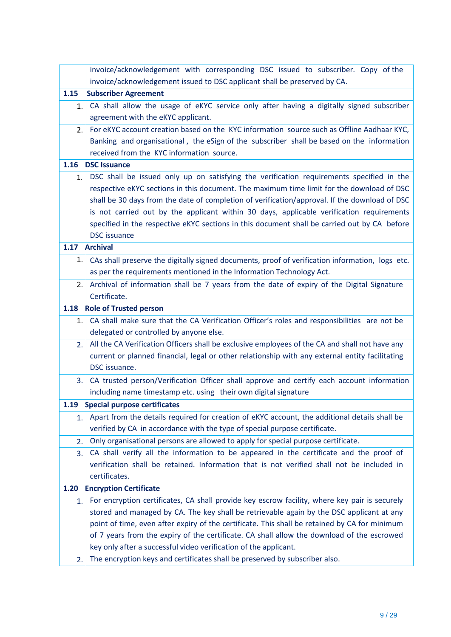|      | invoice/acknowledgement with corresponding DSC issued to subscriber. Copy of the                |
|------|-------------------------------------------------------------------------------------------------|
|      | invoice/acknowledgement issued to DSC applicant shall be preserved by CA.                       |
| 1.15 | <b>Subscriber Agreement</b>                                                                     |
| 1.   | CA shall allow the usage of eKYC service only after having a digitally signed subscriber        |
|      | agreement with the eKYC applicant.                                                              |
| 2.   | For eKYC account creation based on the KYC information source such as Offline Aadhaar KYC,      |
|      | Banking and organisational, the eSign of the subscriber shall be based on the information       |
|      | received from the KYC information source.                                                       |
| 1.16 | <b>DSC Issuance</b>                                                                             |
| 1.   | DSC shall be issued only up on satisfying the verification requirements specified in the        |
|      | respective eKYC sections in this document. The maximum time limit for the download of DSC       |
|      | shall be 30 days from the date of completion of verification/approval. If the download of DSC   |
|      | is not carried out by the applicant within 30 days, applicable verification requirements        |
|      | specified in the respective eKYC sections in this document shall be carried out by CA before    |
|      | <b>DSC</b> issuance                                                                             |
| 1.17 | <b>Archival</b>                                                                                 |
| 1.   | CAs shall preserve the digitally signed documents, proof of verification information, logs etc. |
|      | as per the requirements mentioned in the Information Technology Act.                            |
| 2.   | Archival of information shall be 7 years from the date of expiry of the Digital Signature       |
|      | Certificate.                                                                                    |
| 1.18 | <b>Role of Trusted person</b>                                                                   |
| 1.   | CA shall make sure that the CA Verification Officer's roles and responsibilities are not be     |
|      | delegated or controlled by anyone else.                                                         |
| 2.   | All the CA Verification Officers shall be exclusive employees of the CA and shall not have any  |
|      | current or planned financial, legal or other relationship with any external entity facilitating |
|      | DSC issuance.                                                                                   |
| 3.   | CA trusted person/Verification Officer shall approve and certify each account information       |
|      | including name timestamp etc. using their own digital signature                                 |
| 1.19 | Special purpose certificates                                                                    |
| 1.   | Apart from the details required for creation of eKYC account, the additional details shall be   |
|      | verified by CA in accordance with the type of special purpose certificate.                      |
| 2.   | Only organisational persons are allowed to apply for special purpose certificate.               |
| 3.   | CA shall verify all the information to be appeared in the certificate and the proof of          |
|      | verification shall be retained. Information that is not verified shall not be included in       |
|      | certificates.                                                                                   |
| 1.20 | <b>Encryption Certificate</b>                                                                   |
| 1.   | For encryption certificates, CA shall provide key escrow facility, where key pair is securely   |
|      | stored and managed by CA. The key shall be retrievable again by the DSC applicant at any        |
|      | point of time, even after expiry of the certificate. This shall be retained by CA for minimum   |
|      | of 7 years from the expiry of the certificate. CA shall allow the download of the escrowed      |
|      | key only after a successful video verification of the applicant.                                |
| 2.   | The encryption keys and certificates shall be preserved by subscriber also.                     |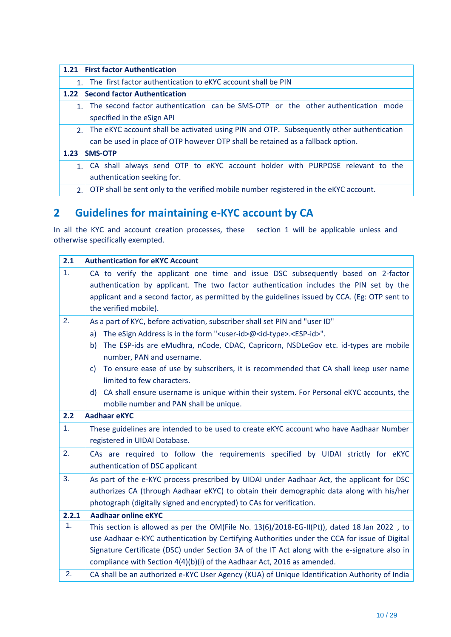|                | 1.21 First factor Authentication                                                         |
|----------------|------------------------------------------------------------------------------------------|
| $\mathbf{1}$ . | The first factor authentication to eKYC account shall be PIN                             |
|                | 1.22 Second factor Authentication                                                        |
| 1.             | The second factor authentication can be SMS-OTP or the other authentication mode         |
|                | specified in the eSign API                                                               |
| 2.             | The eKYC account shall be activated using PIN and OTP. Subsequently other authentication |
|                | can be used in place of OTP however OTP shall be retained as a fallback option.          |
| 1.23           | <b>SMS-OTP</b>                                                                           |
| 1.             | CA shall always send OTP to eKYC account holder with PURPOSE relevant to the             |
|                | authentication seeking for.                                                              |
| 2.             | OTP shall be sent only to the verified mobile number registered in the eKYC account.     |

# **2 Guidelines for maintaining e-KYC account by CA**

In all the KYC and account creation processes, these section 1 will be applicable unless and otherwise specifically exempted.

| 2.1            | <b>Authentication for eKYC Account</b>                                                                |
|----------------|-------------------------------------------------------------------------------------------------------|
| 1 <sub>1</sub> | CA to verify the applicant one time and issue DSC subsequently based on 2-factor                      |
|                | authentication by applicant. The two factor authentication includes the PIN set by the                |
|                | applicant and a second factor, as permitted by the guidelines issued by CCA. (Eg: OTP sent to         |
|                | the verified mobile).                                                                                 |
| 2.             | As a part of KYC, before activation, subscriber shall set PIN and "user ID"                           |
|                | The eSign Address is in the form " <user-id>@<id-type>.<esp-id>".<br/>a)</esp-id></id-type></user-id> |
|                | The ESP-ids are eMudhra, nCode, CDAC, Capricorn, NSDLeGov etc. id-types are mobile<br>b)              |
|                | number, PAN and username.                                                                             |
|                | To ensure ease of use by subscribers, it is recommended that CA shall keep user name<br>C)            |
|                | limited to few characters.                                                                            |
|                | CA shall ensure username is unique within their system. For Personal eKYC accounts, the<br>d)         |
|                | mobile number and PAN shall be unique.                                                                |
| 2.2            | <b>Aadhaar eKYC</b>                                                                                   |
| 1.             | These guidelines are intended to be used to create eKYC account who have Aadhaar Number               |
|                | registered in UIDAI Database.                                                                         |
| 2.             | CAs are required to follow the requirements specified by UIDAI strictly for eKYC                      |
|                | authentication of DSC applicant                                                                       |
| 3.             | As part of the e-KYC process prescribed by UIDAI under Aadhaar Act, the applicant for DSC             |
|                | authorizes CA (through Aadhaar eKYC) to obtain their demographic data along with his/her              |
|                | photograph (digitally signed and encrypted) to CAs for verification.                                  |
| 2.2.1          | <b>Aadhaar online eKYC</b>                                                                            |
| 1.             | This section is allowed as per the OM(File No. 13(6)/2018-EG-II(Pt)), dated 18 Jan 2022, to           |
|                | use Aadhaar e-KYC authentication by Certifying Authorities under the CCA for issue of Digital         |
|                | Signature Certificate (DSC) under Section 3A of the IT Act along with the e-signature also in         |
|                | compliance with Section 4(4)(b)(i) of the Aadhaar Act, 2016 as amended.                               |
| 2.             | CA shall be an authorized e-KYC User Agency (KUA) of Unique Identification Authority of India         |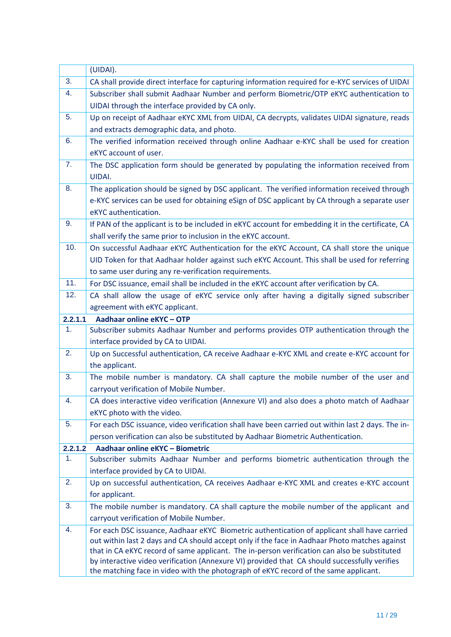|         | (UIDAI).                                                                                                                                                                                      |
|---------|-----------------------------------------------------------------------------------------------------------------------------------------------------------------------------------------------|
| 3.      | CA shall provide direct interface for capturing information required for e-KYC services of UIDAI                                                                                              |
| 4.      | Subscriber shall submit Aadhaar Number and perform Biometric/OTP eKYC authentication to                                                                                                       |
|         | UIDAI through the interface provided by CA only.                                                                                                                                              |
| 5.      | Up on receipt of Aadhaar eKYC XML from UIDAI, CA decrypts, validates UIDAI signature, reads                                                                                                   |
|         | and extracts demographic data, and photo.                                                                                                                                                     |
| 6.      | The verified information received through online Aadhaar e-KYC shall be used for creation                                                                                                     |
|         | eKYC account of user.                                                                                                                                                                         |
| 7.      | The DSC application form should be generated by populating the information received from                                                                                                      |
|         | <b>UIDAI.</b>                                                                                                                                                                                 |
| 8.      | The application should be signed by DSC applicant. The verified information received through                                                                                                  |
|         | e-KYC services can be used for obtaining eSign of DSC applicant by CA through a separate user                                                                                                 |
|         | eKYC authentication.                                                                                                                                                                          |
| 9.      | If PAN of the applicant is to be included in eKYC account for embedding it in the certificate, CA                                                                                             |
|         | shall verify the same prior to inclusion in the eKYC account.                                                                                                                                 |
| 10.     | On successful Aadhaar eKYC Authentication for the eKYC Account, CA shall store the unique                                                                                                     |
|         | UID Token for that Aadhaar holder against such eKYC Account. This shall be used for referring                                                                                                 |
|         | to same user during any re-verification requirements.                                                                                                                                         |
| 11.     | For DSC issuance, email shall be included in the eKYC account after verification by CA.                                                                                                       |
| 12.     | CA shall allow the usage of eKYC service only after having a digitally signed subscriber                                                                                                      |
|         | agreement with eKYC applicant.                                                                                                                                                                |
| 2.2.1.1 | Aadhaar online eKYC - OTP                                                                                                                                                                     |
| 1.      | Subscriber submits Aadhaar Number and performs provides OTP authentication through the                                                                                                        |
|         | interface provided by CA to UIDAI.                                                                                                                                                            |
| 2.      | Up on Successful authentication, CA receive Aadhaar e-KYC XML and create e-KYC account for                                                                                                    |
|         | the applicant.                                                                                                                                                                                |
| 3.      | The mobile number is mandatory. CA shall capture the mobile number of the user and                                                                                                            |
|         | carryout verification of Mobile Number.                                                                                                                                                       |
| 4.      | CA does interactive video verification (Annexure VI) and also does a photo match of Aadhaar                                                                                                   |
|         | eKYC photo with the video.                                                                                                                                                                    |
| 5.      | For each DSC issuance, video verification shall have been carried out within last 2 days. The in-                                                                                             |
|         | person verification can also be substituted by Aadhaar Biometric Authentication.                                                                                                              |
| 2.2.1.2 | Aadhaar online eKYC - Biometric                                                                                                                                                               |
| 1.      | Subscriber submits Aadhaar Number and performs biometric authentication through the                                                                                                           |
|         | interface provided by CA to UIDAI.                                                                                                                                                            |
| 2.      | Up on successful authentication, CA receives Aadhaar e-KYC XML and creates e-KYC account                                                                                                      |
|         | for applicant.                                                                                                                                                                                |
| 3.      | The mobile number is mandatory. CA shall capture the mobile number of the applicant and                                                                                                       |
|         | carryout verification of Mobile Number.                                                                                                                                                       |
| 4.      | For each DSC issuance, Aadhaar eKYC Biometric authentication of applicant shall have carried                                                                                                  |
|         | out within last 2 days and CA should accept only if the face in Aadhaar Photo matches against                                                                                                 |
|         | that in CA eKYC record of same applicant. The in-person verification can also be substituted<br>by interactive video verification (Annexure VI) provided that CA should successfully verifies |
|         | the matching face in video with the photograph of eKYC record of the same applicant.                                                                                                          |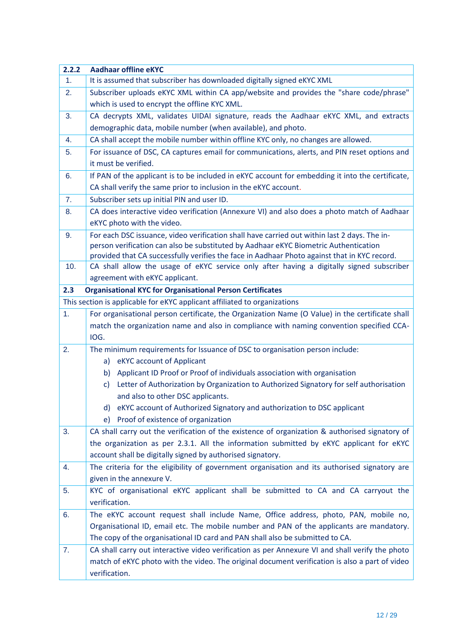| 2.2.2 | <b>Aadhaar offline eKYC</b>                                                                                                                                                              |
|-------|------------------------------------------------------------------------------------------------------------------------------------------------------------------------------------------|
| 1.    | It is assumed that subscriber has downloaded digitally signed eKYC XML                                                                                                                   |
| 2.    | Subscriber uploads eKYC XML within CA app/website and provides the "share code/phrase"                                                                                                   |
|       | which is used to encrypt the offline KYC XML.                                                                                                                                            |
| 3.    | CA decrypts XML, validates UIDAI signature, reads the Aadhaar eKYC XML, and extracts                                                                                                     |
|       | demographic data, mobile number (when available), and photo.                                                                                                                             |
| 4.    | CA shall accept the mobile number within offline KYC only, no changes are allowed.                                                                                                       |
| 5.    | For issuance of DSC, CA captures email for communications, alerts, and PIN reset options and                                                                                             |
|       | it must be verified.                                                                                                                                                                     |
| 6.    | If PAN of the applicant is to be included in eKYC account for embedding it into the certificate,                                                                                         |
|       | CA shall verify the same prior to inclusion in the eKYC account.                                                                                                                         |
| 7.    | Subscriber sets up initial PIN and user ID.                                                                                                                                              |
| 8.    | CA does interactive video verification (Annexure VI) and also does a photo match of Aadhaar                                                                                              |
|       | eKYC photo with the video.                                                                                                                                                               |
| 9.    | For each DSC issuance, video verification shall have carried out within last 2 days. The in-                                                                                             |
|       | person verification can also be substituted by Aadhaar eKYC Biometric Authentication                                                                                                     |
| 10.   | provided that CA successfully verifies the face in Aadhaar Photo against that in KYC record.<br>CA shall allow the usage of eKYC service only after having a digitally signed subscriber |
|       | agreement with eKYC applicant.                                                                                                                                                           |
| 2.3   | <b>Organisational KYC for Organisational Person Certificates</b>                                                                                                                         |
|       | This section is applicable for eKYC applicant affiliated to organizations                                                                                                                |
| 1.    | For organisational person certificate, the Organization Name (O Value) in the certificate shall                                                                                          |
|       | match the organization name and also in compliance with naming convention specified CCA-                                                                                                 |
|       | IOG.                                                                                                                                                                                     |
| 2.    | The minimum requirements for Issuance of DSC to organisation person include:                                                                                                             |
|       | a) eKYC account of Applicant                                                                                                                                                             |
|       | Applicant ID Proof or Proof of individuals association with organisation<br>b)                                                                                                           |
|       | Letter of Authorization by Organization to Authorized Signatory for self authorisation<br>C)                                                                                             |
|       | and also to other DSC applicants.                                                                                                                                                        |
|       | eKYC account of Authorized Signatory and authorization to DSC applicant<br>d).                                                                                                           |
|       | Proof of existence of organization<br>e)                                                                                                                                                 |
| 3.    | CA shall carry out the verification of the existence of organization & authorised signatory of                                                                                           |
|       | the organization as per 2.3.1. All the information submitted by eKYC applicant for eKYC                                                                                                  |
|       | account shall be digitally signed by authorised signatory.                                                                                                                               |
| 4.    | The criteria for the eligibility of government organisation and its authorised signatory are                                                                                             |
|       | given in the annexure V.                                                                                                                                                                 |
| 5.    | KYC of organisational eKYC applicant shall be submitted to CA and CA carryout the                                                                                                        |
|       | verification.                                                                                                                                                                            |
| 6.    | The eKYC account request shall include Name, Office address, photo, PAN, mobile no,                                                                                                      |
|       | Organisational ID, email etc. The mobile number and PAN of the applicants are mandatory.                                                                                                 |
|       | The copy of the organisational ID card and PAN shall also be submitted to CA.                                                                                                            |
| 7.    | CA shall carry out interactive video verification as per Annexure VI and shall verify the photo                                                                                          |
|       | match of eKYC photo with the video. The original document verification is also a part of video                                                                                           |
|       | verification.                                                                                                                                                                            |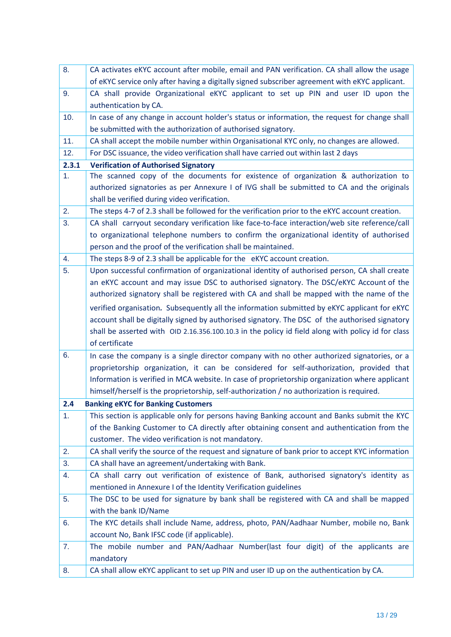| 8.    | CA activates eKYC account after mobile, email and PAN verification. CA shall allow the usage       |
|-------|----------------------------------------------------------------------------------------------------|
|       | of eKYC service only after having a digitally signed subscriber agreement with eKYC applicant.     |
| 9.    | CA shall provide Organizational eKYC applicant to set up PIN and user ID upon the                  |
|       | authentication by CA.                                                                              |
| 10.   | In case of any change in account holder's status or information, the request for change shall      |
|       | be submitted with the authorization of authorised signatory.                                       |
| 11.   | CA shall accept the mobile number within Organisational KYC only, no changes are allowed.          |
| 12.   | For DSC issuance, the video verification shall have carried out within last 2 days                 |
| 2.3.1 | <b>Verification of Authorised Signatory</b>                                                        |
| 1.    | The scanned copy of the documents for existence of organization & authorization to                 |
|       | authorized signatories as per Annexure I of IVG shall be submitted to CA and the originals         |
|       | shall be verified during video verification.                                                       |
| 2.    | The steps 4-7 of 2.3 shall be followed for the verification prior to the eKYC account creation.    |
| 3.    | CA shall carryout secondary verification like face-to-face interaction/web site reference/call     |
|       | to organizational telephone numbers to confirm the organizational identity of authorised           |
|       | person and the proof of the verification shall be maintained.                                      |
| 4.    | The steps 8-9 of 2.3 shall be applicable for the eKYC account creation.                            |
| 5.    | Upon successful confirmation of organizational identity of authorised person, CA shall create      |
|       | an eKYC account and may issue DSC to authorised signatory. The DSC/eKYC Account of the             |
|       | authorized signatory shall be registered with CA and shall be mapped with the name of the          |
|       | verified organisation. Subsequently all the information submitted by eKYC applicant for eKYC       |
|       | account shall be digitally signed by authorised signatory. The DSC of the authorised signatory     |
|       | shall be asserted with OID 2.16.356.100.10.3 in the policy id field along with policy id for class |
|       | of certificate                                                                                     |
| 6.    | In case the company is a single director company with no other authorized signatories, or a        |
|       | proprietorship organization, it can be considered for self-authorization, provided that            |
|       | Information is verified in MCA website. In case of proprietorship organization where applicant     |
|       | himself/herself is the proprietorship, self-authorization / no authorization is required.          |
| 2.4   | <b>Banking eKYC for Banking Customers</b>                                                          |
| 1.    | This section is applicable only for persons having Banking account and Banks submit the KYC        |
|       | of the Banking Customer to CA directly after obtaining consent and authentication from the         |
|       | customer. The video verification is not mandatory.                                                 |
| 2.    | CA shall verify the source of the request and signature of bank prior to accept KYC information    |
| 3.    | CA shall have an agreement/undertaking with Bank.                                                  |
| 4.    | CA shall carry out verification of existence of Bank, authorised signatory's identity as           |
|       | mentioned in Annexure I of the Identity Verification guidelines                                    |
| 5.    | The DSC to be used for signature by bank shall be registered with CA and shall be mapped           |
|       | with the bank ID/Name                                                                              |
| 6.    | The KYC details shall include Name, address, photo, PAN/Aadhaar Number, mobile no, Bank            |
|       | account No, Bank IFSC code (if applicable).                                                        |
| 7.    | The mobile number and PAN/Aadhaar Number(last four digit) of the applicants are                    |
|       | mandatory                                                                                          |
| 8.    | CA shall allow eKYC applicant to set up PIN and user ID up on the authentication by CA.            |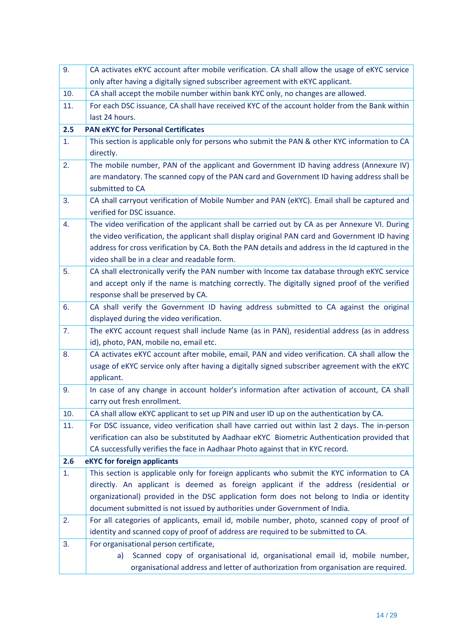| 9.  | CA activates eKYC account after mobile verification. CA shall allow the usage of eKYC service    |
|-----|--------------------------------------------------------------------------------------------------|
|     | only after having a digitally signed subscriber agreement with eKYC applicant.                   |
| 10. | CA shall accept the mobile number within bank KYC only, no changes are allowed.                  |
| 11. | For each DSC issuance, CA shall have received KYC of the account holder from the Bank within     |
|     | last 24 hours.                                                                                   |
| 2.5 | <b>PAN eKYC for Personal Certificates</b>                                                        |
| 1.  | This section is applicable only for persons who submit the PAN & other KYC information to CA     |
|     | directly.                                                                                        |
| 2.  | The mobile number, PAN of the applicant and Government ID having address (Annexure IV)           |
|     | are mandatory. The scanned copy of the PAN card and Government ID having address shall be        |
|     | submitted to CA                                                                                  |
| 3.  | CA shall carryout verification of Mobile Number and PAN (eKYC). Email shall be captured and      |
|     | verified for DSC issuance.                                                                       |
| 4.  | The video verification of the applicant shall be carried out by CA as per Annexure VI. During    |
|     | the video verification, the applicant shall display original PAN card and Government ID having   |
|     | address for cross verification by CA. Both the PAN details and address in the Id captured in the |
|     | video shall be in a clear and readable form.                                                     |
| 5.  | CA shall electronically verify the PAN number with Income tax database through eKYC service      |
|     | and accept only if the name is matching correctly. The digitally signed proof of the verified    |
|     | response shall be preserved by CA.                                                               |
| 6.  | CA shall verify the Government ID having address submitted to CA against the original            |
|     | displayed during the video verification.                                                         |
| 7.  | The eKYC account request shall include Name (as in PAN), residential address (as in address      |
|     | id), photo, PAN, mobile no, email etc.                                                           |
| 8.  | CA activates eKYC account after mobile, email, PAN and video verification. CA shall allow the    |
|     | usage of eKYC service only after having a digitally signed subscriber agreement with the eKYC    |
|     | applicant.                                                                                       |
| 9.  | In case of any change in account holder's information after activation of account, CA shall      |
|     | carry out fresh enrollment.                                                                      |
| 10. | CA shall allow eKYC applicant to set up PIN and user ID up on the authentication by CA.          |
| 11. | For DSC issuance, video verification shall have carried out within last 2 days. The in-person    |
|     | verification can also be substituted by Aadhaar eKYC Biometric Authentication provided that      |
|     | CA successfully verifies the face in Aadhaar Photo against that in KYC record.                   |
| 2.6 | eKYC for foreign applicants                                                                      |
| 1.  | This section is applicable only for foreign applicants who submit the KYC information to CA      |
|     | directly. An applicant is deemed as foreign applicant if the address (residential or             |
|     | organizational) provided in the DSC application form does not belong to India or identity        |
|     | document submitted is not issued by authorities under Government of India.                       |
| 2.  | For all categories of applicants, email id, mobile number, photo, scanned copy of proof of       |
|     | identity and scanned copy of proof of address are required to be submitted to CA.                |
| 3.  | For organisational person certificate,                                                           |
|     | Scanned copy of organisational id, organisational email id, mobile number,<br>a)                 |
|     | organisational address and letter of authorization from organisation are required.               |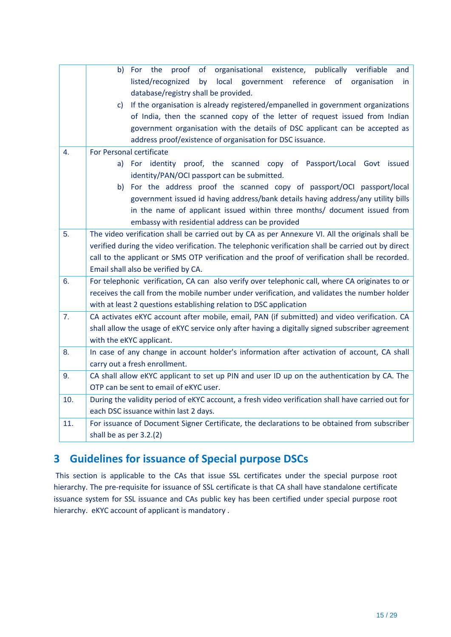|     | organisational existence, publically verifiable<br>b)<br>For the<br>proof<br>of<br>and             |
|-----|----------------------------------------------------------------------------------------------------|
|     | listed/recognized<br>local<br>government<br>reference<br>of organisation<br>by<br>in.              |
|     | database/registry shall be provided.                                                               |
|     | If the organisation is already registered/empanelled in government organizations<br>C)             |
|     | of India, then the scanned copy of the letter of request issued from Indian                        |
|     | government organisation with the details of DSC applicant can be accepted as                       |
|     | address proof/existence of organisation for DSC issuance.                                          |
| 4.  | For Personal certificate                                                                           |
|     | a) For identity proof, the scanned copy of Passport/Local Govt issued                              |
|     | identity/PAN/OCI passport can be submitted.                                                        |
|     | b) For the address proof the scanned copy of passport/OCI passport/local                           |
|     | government issued id having address/bank details having address/any utility bills                  |
|     | in the name of applicant issued within three months/ document issued from                          |
|     | embassy with residential address can be provided                                                   |
| 5.  | The video verification shall be carried out by CA as per Annexure VI. All the originals shall be   |
|     | verified during the video verification. The telephonic verification shall be carried out by direct |
|     | call to the applicant or SMS OTP verification and the proof of verification shall be recorded.     |
|     | Email shall also be verified by CA.                                                                |
| 6.  | For telephonic verification, CA can also verify over telephonic call, where CA originates to or    |
|     | receives the call from the mobile number under verification, and validates the number holder       |
|     | with at least 2 questions establishing relation to DSC application                                 |
| 7.  | CA activates eKYC account after mobile, email, PAN (if submitted) and video verification. CA       |
|     | shall allow the usage of eKYC service only after having a digitally signed subscriber agreement    |
|     | with the eKYC applicant.                                                                           |
| 8.  | In case of any change in account holder's information after activation of account, CA shall        |
|     | carry out a fresh enrollment.                                                                      |
| 9.  | CA shall allow eKYC applicant to set up PIN and user ID up on the authentication by CA. The        |
|     | OTP can be sent to email of eKYC user.                                                             |
| 10. | During the validity period of eKYC account, a fresh video verification shall have carried out for  |
|     | each DSC issuance within last 2 days.                                                              |
| 11. | For issuance of Document Signer Certificate, the declarations to be obtained from subscriber       |
|     | shall be as per 3.2.(2)                                                                            |

### **3 Guidelines for issuance of Special purpose DSCs**

This section is applicable to the CAs that issue SSL certificates under the special purpose root hierarchy. The pre-requisite for issuance of SSL certificate is that CA shall have standalone certificate issuance system for SSL issuance and CAs public key has been certified under special purpose root hierarchy. eKYC account of applicant is mandatory .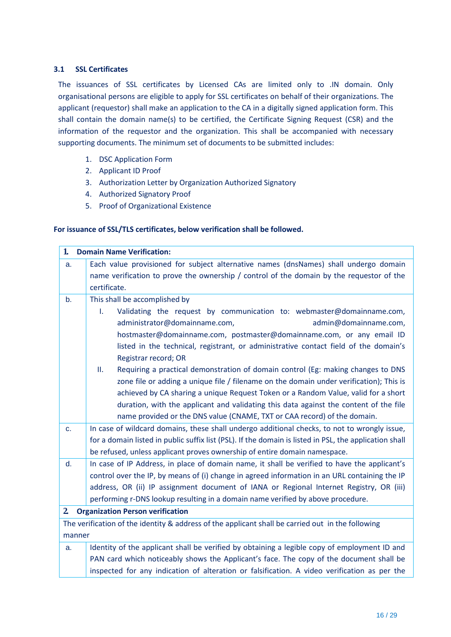#### **3.1 SSL Certificates**

The issuances of SSL certificates by Licensed CAs are limited only to .IN domain. Only organisational persons are eligible to apply for SSL certificates on behalf of their organizations. The applicant (requestor) shall make an application to the CA in a digitally signed application form. This shall contain the domain name(s) to be certified, the Certificate Signing Request (CSR) and the information of the requestor and the organization. This shall be accompanied with necessary supporting documents. The minimum set of documents to be submitted includes:

- 1. DSC Application Form
- 2. Applicant ID Proof
- 3. Authorization Letter by Organization Authorized Signatory
- 4. Authorized Signatory Proof
- 5. Proof of Organizational Existence

#### **For issuance of SSL/TLS certificates, below verification shall be followed.**

| $\mathbf{1}$   | <b>Domain Name Verification:</b>                                                                       |
|----------------|--------------------------------------------------------------------------------------------------------|
| a.             | Each value provisioned for subject alternative names (dnsNames) shall undergo domain                   |
|                | name verification to prove the ownership / control of the domain by the requestor of the               |
|                | certificate.                                                                                           |
| b.             | This shall be accomplished by                                                                          |
|                | Ī.<br>Validating the request by communication to: webmaster@domainname.com,                            |
|                | administrator@domainname.com,<br>admin@domainname.com,                                                 |
|                | hostmaster@domainname.com, postmaster@domainname.com, or any email ID                                  |
|                | listed in the technical, registrant, or administrative contact field of the domain's                   |
|                | Registrar record; OR                                                                                   |
|                | Requiring a practical demonstration of domain control (Eg: making changes to DNS<br>Ш.                 |
|                | zone file or adding a unique file / filename on the domain under verification); This is                |
|                | achieved by CA sharing a unique Request Token or a Random Value, valid for a short                     |
|                | duration, with the applicant and validating this data against the content of the file                  |
|                | name provided or the DNS value (CNAME, TXT or CAA record) of the domain.                               |
| c.             | In case of wildcard domains, these shall undergo additional checks, to not to wrongly issue,           |
|                | for a domain listed in public suffix list (PSL). If the domain is listed in PSL, the application shall |
|                | be refused, unless applicant proves ownership of entire domain namespace.                              |
| d.             | In case of IP Address, in place of domain name, it shall be verified to have the applicant's           |
|                | control over the IP, by means of (i) change in agreed information in an URL containing the IP          |
|                | address, OR (ii) IP assignment document of IANA or Regional Internet Registry, OR (iii)                |
|                | performing r-DNS lookup resulting in a domain name verified by above procedure.                        |
| $\overline{2}$ | <b>Organization Person verification</b>                                                                |
|                | The verification of the identity & address of the applicant shall be carried out in the following      |
| manner         |                                                                                                        |
| a.             | Identity of the applicant shall be verified by obtaining a legible copy of employment ID and           |
|                | PAN card which noticeably shows the Applicant's face. The copy of the document shall be                |
|                | inspected for any indication of alteration or falsification. A video verification as per the           |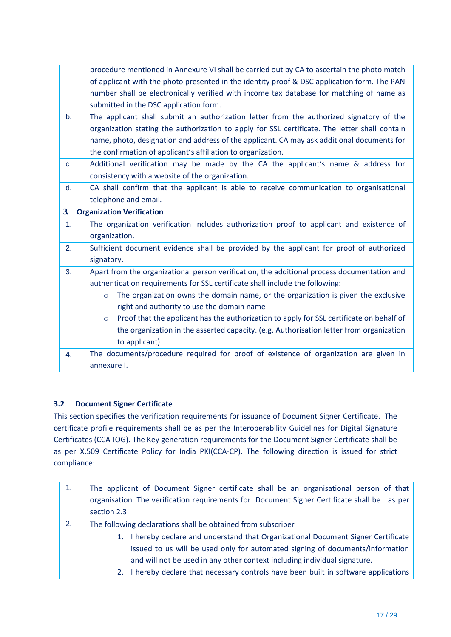|                | procedure mentioned in Annexure VI shall be carried out by CA to ascertain the photo match          |
|----------------|-----------------------------------------------------------------------------------------------------|
|                | of applicant with the photo presented in the identity proof & DSC application form. The PAN         |
|                | number shall be electronically verified with income tax database for matching of name as            |
|                | submitted in the DSC application form.                                                              |
| b <sub>1</sub> | The applicant shall submit an authorization letter from the authorized signatory of the             |
|                | organization stating the authorization to apply for SSL certificate. The letter shall contain       |
|                | name, photo, designation and address of the applicant. CA may ask additional documents for          |
|                | the confirmation of applicant's affiliation to organization.                                        |
| c.             | Additional verification may be made by the CA the applicant's name & address for                    |
|                | consistency with a website of the organization.                                                     |
| d.             | CA shall confirm that the applicant is able to receive communication to organisational              |
|                | telephone and email.                                                                                |
| $\mathbf{3}$   | <b>Organization Verification</b>                                                                    |
| 1.             | The organization verification includes authorization proof to applicant and existence of            |
|                | organization.                                                                                       |
| 2.             | Sufficient document evidence shall be provided by the applicant for proof of authorized             |
|                | signatory.                                                                                          |
| 3.             | Apart from the organizational person verification, the additional process documentation and         |
|                | authentication requirements for SSL certificate shall include the following:                        |
|                | The organization owns the domain name, or the organization is given the exclusive<br>$\circ$        |
|                | right and authority to use the domain name                                                          |
|                | Proof that the applicant has the authorization to apply for SSL certificate on behalf of<br>$\circ$ |
|                | the organization in the asserted capacity. (e.g. Authorisation letter from organization             |
|                | to applicant)                                                                                       |
| 4.             | The documents/procedure required for proof of existence of organization are given in                |
|                | annexure I.                                                                                         |

### **3.2 Document Signer Certificate**

This section specifies the verification requirements for issuance of Document Signer Certificate. The certificate profile requirements shall be as per the Interoperability Guidelines for Digital Signature Certificates (CCA-IOG). The Key generation requirements for the Document Signer Certificate shall be as per X.509 Certificate Policy for India PKI(CCA-CP). The following direction is issued for strict compliance:

| $\mathbf{1}$ . | The applicant of Document Signer certificate shall be an organisational person of that                                                                                                                                                           |  |
|----------------|--------------------------------------------------------------------------------------------------------------------------------------------------------------------------------------------------------------------------------------------------|--|
|                | organisation. The verification requirements for Document Signer Certificate shall be as per                                                                                                                                                      |  |
|                | section 2.3                                                                                                                                                                                                                                      |  |
| 2.             | The following declarations shall be obtained from subscriber                                                                                                                                                                                     |  |
|                | 1. I hereby declare and understand that Organizational Document Signer Certificate<br>issued to us will be used only for automated signing of documents/information<br>and will not be used in any other context including individual signature. |  |
|                | 2. I hereby declare that necessary controls have been built in software applications                                                                                                                                                             |  |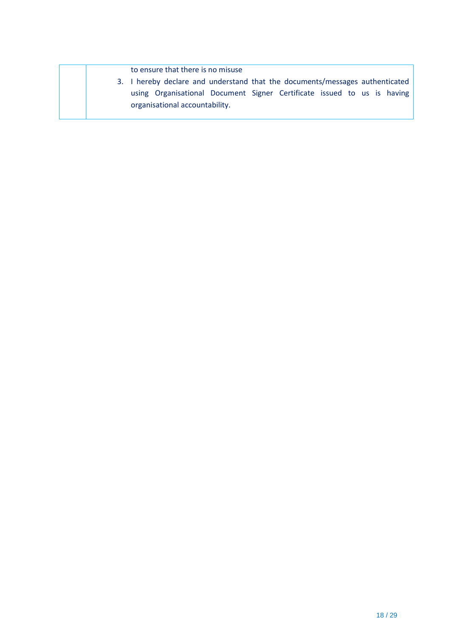to ensure that there is no misuse

3. I hereby declare and understand that the documents/messages authenticated using Organisational Document Signer Certificate issued to us is having organisational accountability.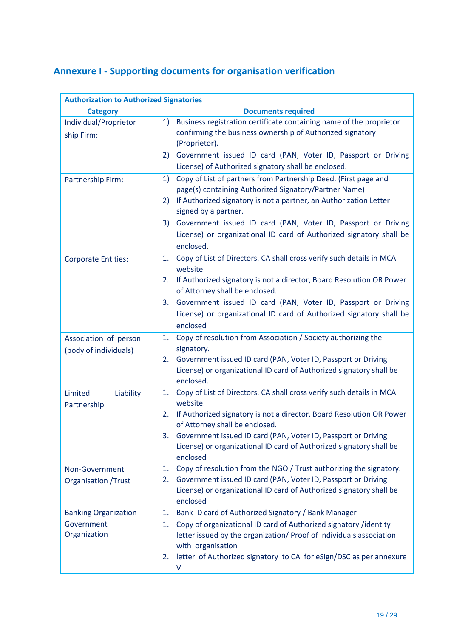# **Annexure I - Supporting documents for organisation verification**

| <b>Authorization to Authorized Signatories</b> |                                                                                 |  |  |
|------------------------------------------------|---------------------------------------------------------------------------------|--|--|
| <b>Category</b>                                | <b>Documents required</b>                                                       |  |  |
| Individual/Proprietor                          | Business registration certificate containing name of the proprietor<br>1)       |  |  |
| ship Firm:                                     | confirming the business ownership of Authorized signatory                       |  |  |
|                                                | (Proprietor).                                                                   |  |  |
|                                                | Government issued ID card (PAN, Voter ID, Passport or Driving<br>2)             |  |  |
|                                                | License) of Authorized signatory shall be enclosed.                             |  |  |
| Partnership Firm:                              | Copy of List of partners from Partnership Deed. (First page and<br>1)           |  |  |
|                                                | page(s) containing Authorized Signatory/Partner Name)                           |  |  |
|                                                | If Authorized signatory is not a partner, an Authorization Letter<br>2)         |  |  |
|                                                | signed by a partner.                                                            |  |  |
|                                                | Government issued ID card (PAN, Voter ID, Passport or Driving<br>3)             |  |  |
|                                                | License) or organizational ID card of Authorized signatory shall be             |  |  |
|                                                | enclosed.                                                                       |  |  |
| <b>Corporate Entities:</b>                     | Copy of List of Directors. CA shall cross verify such details in MCA<br>1.      |  |  |
|                                                | website.                                                                        |  |  |
|                                                | 2. If Authorized signatory is not a director, Board Resolution OR Power         |  |  |
|                                                | of Attorney shall be enclosed.                                                  |  |  |
|                                                | 3. Government issued ID card (PAN, Voter ID, Passport or Driving                |  |  |
|                                                | License) or organizational ID card of Authorized signatory shall be             |  |  |
|                                                | enclosed                                                                        |  |  |
| Association of person                          | Copy of resolution from Association / Society authorizing the<br>1.             |  |  |
| (body of individuals)                          | signatory.                                                                      |  |  |
|                                                | Government issued ID card (PAN, Voter ID, Passport or Driving<br>2.             |  |  |
|                                                | License) or organizational ID card of Authorized signatory shall be             |  |  |
|                                                | enclosed.                                                                       |  |  |
| Limited<br>Liability                           | Copy of List of Directors. CA shall cross verify such details in MCA<br>1.      |  |  |
| Partnership                                    | website.                                                                        |  |  |
|                                                | If Authorized signatory is not a director, Board Resolution OR Power<br>2.      |  |  |
|                                                | of Attorney shall be enclosed.                                                  |  |  |
|                                                | 3.<br>Government issued ID card (PAN, Voter ID, Passport or Driving             |  |  |
|                                                | License) or organizational ID card of Authorized signatory shall be<br>enclosed |  |  |
|                                                | Copy of resolution from the NGO / Trust authorizing the signatory.              |  |  |
| Non-Government                                 | 1.<br>Government issued ID card (PAN, Voter ID, Passport or Driving<br>2.       |  |  |
| <b>Organisation / Trust</b>                    | License) or organizational ID card of Authorized signatory shall be             |  |  |
|                                                | enclosed                                                                        |  |  |
| <b>Banking Organization</b>                    | Bank ID card of Authorized Signatory / Bank Manager<br>1.                       |  |  |
| Government                                     | Copy of organizational ID card of Authorized signatory /identity<br>1.          |  |  |
| Organization                                   | letter issued by the organization/ Proof of individuals association             |  |  |
|                                                | with organisation                                                               |  |  |
|                                                | letter of Authorized signatory to CA for eSign/DSC as per annexure<br>2.        |  |  |
|                                                | V                                                                               |  |  |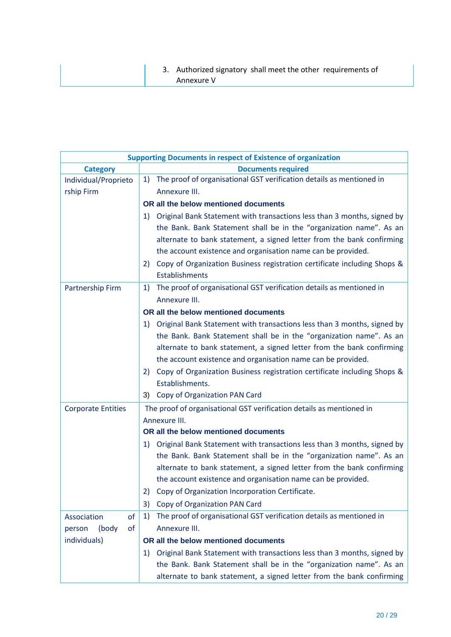3. Authorized signatory shall meet the other requirements of Annexure V

| <b>Supporting Documents in respect of Existence of organization</b> |                                                                                |  |
|---------------------------------------------------------------------|--------------------------------------------------------------------------------|--|
| <b>Category</b>                                                     | <b>Documents required</b>                                                      |  |
| Individual/Proprieto                                                | The proof of organisational GST verification details as mentioned in<br>1)     |  |
| rship Firm                                                          | Annexure III.                                                                  |  |
|                                                                     | OR all the below mentioned documents                                           |  |
|                                                                     | Original Bank Statement with transactions less than 3 months, signed by<br>1)  |  |
|                                                                     | the Bank. Bank Statement shall be in the "organization name". As an            |  |
|                                                                     | alternate to bank statement, a signed letter from the bank confirming          |  |
|                                                                     | the account existence and organisation name can be provided.                   |  |
|                                                                     | Copy of Organization Business registration certificate including Shops &<br>2) |  |
|                                                                     | <b>Establishments</b>                                                          |  |
| Partnership Firm                                                    | The proof of organisational GST verification details as mentioned in<br>1)     |  |
|                                                                     | Annexure III.                                                                  |  |
|                                                                     | OR all the below mentioned documents                                           |  |
|                                                                     | Original Bank Statement with transactions less than 3 months, signed by<br>1)  |  |
|                                                                     | the Bank. Bank Statement shall be in the "organization name". As an            |  |
|                                                                     | alternate to bank statement, a signed letter from the bank confirming          |  |
|                                                                     | the account existence and organisation name can be provided.                   |  |
|                                                                     | Copy of Organization Business registration certificate including Shops &<br>2) |  |
|                                                                     | Establishments.                                                                |  |
|                                                                     | Copy of Organization PAN Card<br>3)                                            |  |
| <b>Corporate Entities</b>                                           | The proof of organisational GST verification details as mentioned in           |  |
|                                                                     | Annexure III.                                                                  |  |
|                                                                     | OR all the below mentioned documents                                           |  |
|                                                                     | Original Bank Statement with transactions less than 3 months, signed by<br>1)  |  |
|                                                                     | the Bank. Bank Statement shall be in the "organization name". As an            |  |
|                                                                     | alternate to bank statement, a signed letter from the bank confirming          |  |
|                                                                     | the account existence and organisation name can be provided.                   |  |
|                                                                     | Copy of Organization Incorporation Certificate.                                |  |
|                                                                     | Copy of Organization PAN Card<br>3)                                            |  |
| Association<br>of                                                   | The proof of organisational GST verification details as mentioned in<br>1)     |  |
| of<br>(body<br>person                                               | Annexure III.                                                                  |  |
| individuals)                                                        | OR all the below mentioned documents                                           |  |
|                                                                     | Original Bank Statement with transactions less than 3 months, signed by<br>1)  |  |
|                                                                     | the Bank. Bank Statement shall be in the "organization name". As an            |  |
|                                                                     | alternate to bank statement, a signed letter from the bank confirming          |  |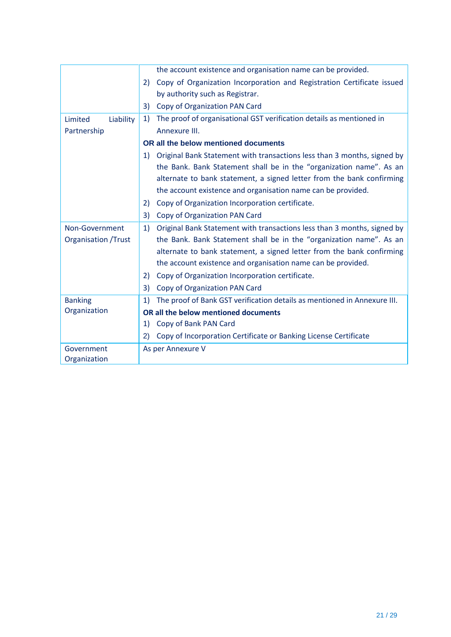|                            | the account existence and organisation name can be provided.                   |
|----------------------------|--------------------------------------------------------------------------------|
|                            | Copy of Organization Incorporation and Registration Certificate issued<br>2)   |
|                            | by authority such as Registrar.                                                |
|                            | Copy of Organization PAN Card<br>3)                                            |
| Limited<br>Liability       | The proof of organisational GST verification details as mentioned in<br>1)     |
| Partnership                | Annexure III.                                                                  |
|                            | OR all the below mentioned documents                                           |
|                            | Original Bank Statement with transactions less than 3 months, signed by<br>1)  |
|                            | the Bank. Bank Statement shall be in the "organization name". As an            |
|                            | alternate to bank statement, a signed letter from the bank confirming          |
|                            | the account existence and organisation name can be provided.                   |
|                            | Copy of Organization Incorporation certificate.<br>2)                          |
|                            | 3)<br>Copy of Organization PAN Card                                            |
| Non-Government             | Original Bank Statement with transactions less than 3 months, signed by<br>1)  |
| <b>Organisation /Trust</b> | the Bank. Bank Statement shall be in the "organization name". As an            |
|                            | alternate to bank statement, a signed letter from the bank confirming          |
|                            | the account existence and organisation name can be provided.                   |
|                            | Copy of Organization Incorporation certificate.<br>2)                          |
|                            | Copy of Organization PAN Card<br>3)                                            |
| <b>Banking</b>             | The proof of Bank GST verification details as mentioned in Annexure III.<br>1) |
| Organization               | OR all the below mentioned documents                                           |
|                            | Copy of Bank PAN Card<br>1)                                                    |
|                            | Copy of Incorporation Certificate or Banking License Certificate<br>2)         |
| Government                 | As per Annexure V                                                              |
| Organization               |                                                                                |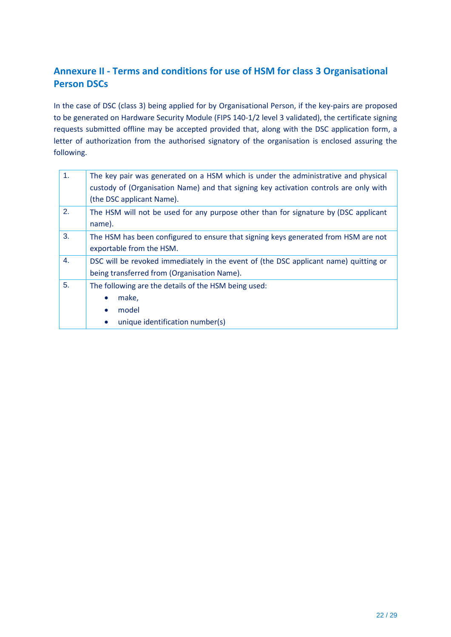### **Annexure II - Terms and conditions for use of HSM for class 3 Organisational Person DSCs**

In the case of DSC (class 3) being applied for by Organisational Person, if the key-pairs are proposed to be generated on Hardware Security Module (FIPS 140-1/2 level 3 validated), the certificate signing requests submitted offline may be accepted provided that, along with the DSC application form, a letter of authorization from the authorised signatory of the organisation is enclosed assuring the following.

| 1. | The key pair was generated on a HSM which is under the administrative and physical<br>custody of (Organisation Name) and that signing key activation controls are only with |
|----|-----------------------------------------------------------------------------------------------------------------------------------------------------------------------------|
| 2. | (the DSC applicant Name).<br>The HSM will not be used for any purpose other than for signature by (DSC applicant                                                            |
|    | name).                                                                                                                                                                      |
| 3. | The HSM has been configured to ensure that signing keys generated from HSM are not                                                                                          |
|    | exportable from the HSM.                                                                                                                                                    |
| 4. | DSC will be revoked immediately in the event of (the DSC applicant name) quitting or                                                                                        |
|    | being transferred from (Organisation Name).                                                                                                                                 |
| 5. | The following are the details of the HSM being used:                                                                                                                        |
|    | make,<br>$\bullet$                                                                                                                                                          |
|    | model<br>$\bullet$                                                                                                                                                          |
|    | unique identification number(s)<br>$\bullet$                                                                                                                                |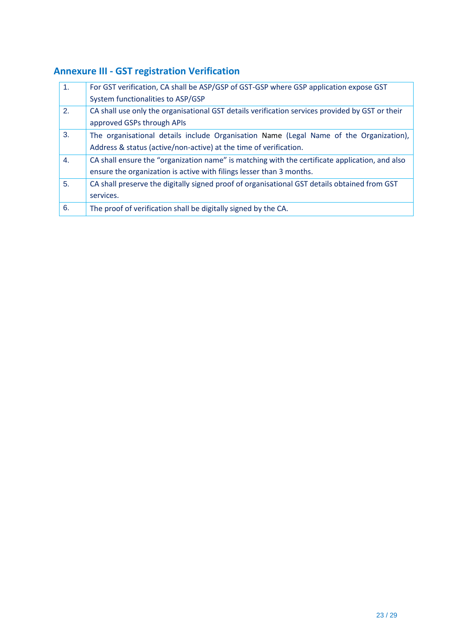# **Annexure III - GST registration Verification**

| For GST verification, CA shall be ASP/GSP of GST-GSP where GSP application expose GST           |
|-------------------------------------------------------------------------------------------------|
| System functionalities to ASP/GSP                                                               |
| CA shall use only the organisational GST details verification services provided by GST or their |
| approved GSPs through APIs                                                                      |
| The organisational details include Organisation Name (Legal Name of the Organization),          |
| Address & status (active/non-active) at the time of verification.                               |
| CA shall ensure the "organization name" is matching with the certificate application, and also  |
| ensure the organization is active with filings lesser than 3 months.                            |
| CA shall preserve the digitally signed proof of organisational GST details obtained from GST    |
| services.                                                                                       |
| The proof of verification shall be digitally signed by the CA.                                  |
|                                                                                                 |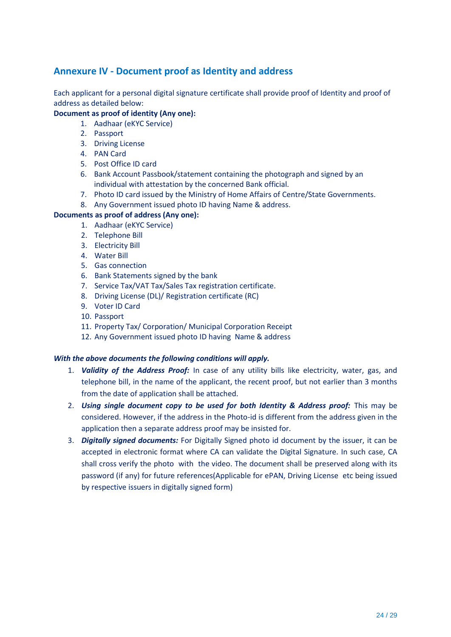### **Annexure IV - Document proof as Identity and address**

Each applicant for a personal digital signature certificate shall provide proof of Identity and proof of address as detailed below:

### **Document as proof of identity (Any one):**

- 1. Aadhaar (eKYC Service)
- 2. Passport
- 3. Driving License
- 4. PAN Card
- 5. Post Office ID card
- 6. Bank Account Passbook/statement containing the photograph and signed by an individual with attestation by the concerned Bank official.
- 7. Photo ID card issued by the Ministry of Home Affairs of Centre/State Governments.
- 8. Any Government issued photo ID having Name & address.

#### **Documents as proof of address (Any one):**

- 1. Aadhaar (eKYC Service)
- 2. Telephone Bill
- 3. Electricity Bill
- 4. Water Bill
- 5. Gas connection
- 6. Bank Statements signed by the bank
- 7. Service Tax/VAT Tax/Sales Tax registration certificate.
- 8. Driving License (DL)/ Registration certificate (RC)
- 9. Voter ID Card
- 10. Passport
- 11. Property Tax/ Corporation/ Municipal Corporation Receipt
- 12. Any Government issued photo ID having Name & address

#### *With the above documents the following conditions will apply.*

- 1. *Validity of the Address Proof:* In case of any utility bills like electricity, water, gas, and telephone bill, in the name of the applicant, the recent proof, but not earlier than 3 months from the date of application shall be attached.
- 2. *Using single document copy to be used for both Identity & Address proof:* This may be considered. However, if the address in the Photo-id is different from the address given in the application then a separate address proof may be insisted for.
- 3. *Digitally signed documents:* For Digitally Signed photo id document by the issuer, it can be accepted in electronic format where CA can validate the Digital Signature. In such case, CA shall cross verify the photo with the video. The document shall be preserved along with its password (if any) for future references(Applicable for ePAN, Driving License etc being issued by respective issuers in digitally signed form)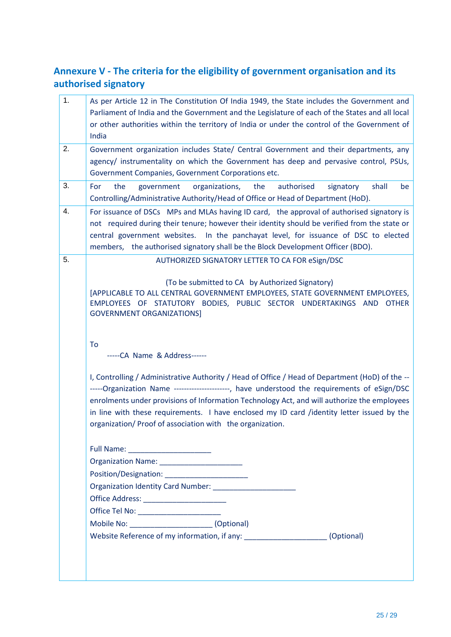### **Annexure V - The criteria for the eligibility of government organisation and its authorised signatory**

| 1. | As per Article 12 in The Constitution Of India 1949, the State includes the Government and<br>Parliament of India and the Government and the Legislature of each of the States and all local<br>or other authorities within the territory of India or under the control of the Government of<br>India                                                                                                                                                                                                                                                                                                                                                                                                                                                                                                                                                                                                                                                                                                                                                                                         |
|----|-----------------------------------------------------------------------------------------------------------------------------------------------------------------------------------------------------------------------------------------------------------------------------------------------------------------------------------------------------------------------------------------------------------------------------------------------------------------------------------------------------------------------------------------------------------------------------------------------------------------------------------------------------------------------------------------------------------------------------------------------------------------------------------------------------------------------------------------------------------------------------------------------------------------------------------------------------------------------------------------------------------------------------------------------------------------------------------------------|
| 2. | Government organization includes State/ Central Government and their departments, any<br>agency/ instrumentality on which the Government has deep and pervasive control, PSUs,<br>Government Companies, Government Corporations etc.                                                                                                                                                                                                                                                                                                                                                                                                                                                                                                                                                                                                                                                                                                                                                                                                                                                          |
| 3. | For<br>the<br>the<br>authorised<br>shall<br>government<br>organizations,<br>signatory<br>be<br>Controlling/Administrative Authority/Head of Office or Head of Department (HoD).                                                                                                                                                                                                                                                                                                                                                                                                                                                                                                                                                                                                                                                                                                                                                                                                                                                                                                               |
| 4. | For issuance of DSCs MPs and MLAs having ID card, the approval of authorised signatory is<br>not required during their tenure; however their identity should be verified from the state or<br>central government websites. In the panchayat level, for issuance of DSC to elected<br>members, the authorised signatory shall be the Block Development Officer (BDO).                                                                                                                                                                                                                                                                                                                                                                                                                                                                                                                                                                                                                                                                                                                          |
|    | (To be submitted to CA by Authorized Signatory)<br>[APPLICABLE TO ALL CENTRAL GOVERNMENT EMPLOYEES, STATE GOVERNMENT EMPLOYEES,<br>EMPLOYEES OF STATUTORY BODIES, PUBLIC SECTOR UNDERTAKINGS AND<br><b>OTHER</b><br><b>GOVERNMENT ORGANIZATIONS]</b><br>To<br>-----CA Name & Address------                                                                                                                                                                                                                                                                                                                                                                                                                                                                                                                                                                                                                                                                                                                                                                                                    |
|    | I, Controlling / Administrative Authority / Head of Office / Head of Department (HoD) of the --<br>-----Organization Name ----------------------, have understood the requirements of eSign/DSC<br>enrolments under provisions of Information Technology Act, and will authorize the employees<br>in line with these requirements. I have enclosed my ID card /identity letter issued by the<br>organization/Proof of association with the organization.<br>Organization Name: _______________________<br>Position/Designation: Note that the position of the set of the set of the set of the set of the set of the set of the set of the set of the set of the set of the set of the set of the set of the set of the set of the set o<br>Organization Identity Card Number: National Accounts of the Carolina Control of the Carolina Control of the Ca<br>Office Address: ________________________<br>Office Tel No: ________________________<br>Mobile No: _________________________________ (Optional)<br>Website Reference of my information, if any: ______________________(Optional) |
|    |                                                                                                                                                                                                                                                                                                                                                                                                                                                                                                                                                                                                                                                                                                                                                                                                                                                                                                                                                                                                                                                                                               |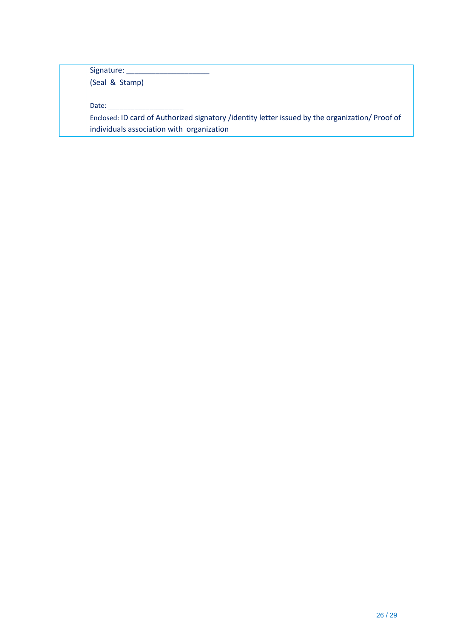Signature: \_\_\_\_\_\_\_\_\_\_\_\_\_\_\_\_\_\_\_\_

(Seal & Stamp)

Date: \_\_\_\_\_\_\_\_\_\_\_\_\_\_\_\_\_\_\_\_

Enclosed: ID card of Authorized signatory /identity letter issued by the organization/ Proof of individuals association with organization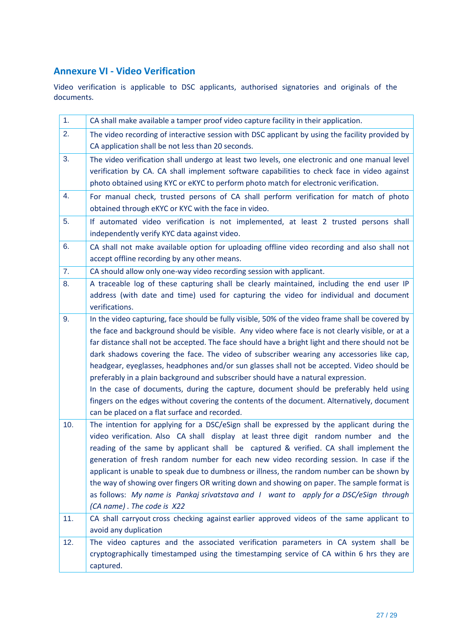### **Annexure VI - Video Verification**

Video verification is applicable to DSC applicants, authorised signatories and originals of the documents.

| 1 <sub>1</sub> | CA shall make available a tamper proof video capture facility in their application.                                                                                                                                                                                                                                                                                                                                                                                                                                                                                                                                                                                                                                                                                                                                              |
|----------------|----------------------------------------------------------------------------------------------------------------------------------------------------------------------------------------------------------------------------------------------------------------------------------------------------------------------------------------------------------------------------------------------------------------------------------------------------------------------------------------------------------------------------------------------------------------------------------------------------------------------------------------------------------------------------------------------------------------------------------------------------------------------------------------------------------------------------------|
| 2.             | The video recording of interactive session with DSC applicant by using the facility provided by<br>CA application shall be not less than 20 seconds.                                                                                                                                                                                                                                                                                                                                                                                                                                                                                                                                                                                                                                                                             |
| 3.             | The video verification shall undergo at least two levels, one electronic and one manual level<br>verification by CA. CA shall implement software capabilities to check face in video against<br>photo obtained using KYC or eKYC to perform photo match for electronic verification.                                                                                                                                                                                                                                                                                                                                                                                                                                                                                                                                             |
| 4.             | For manual check, trusted persons of CA shall perform verification for match of photo<br>obtained through eKYC or KYC with the face in video.                                                                                                                                                                                                                                                                                                                                                                                                                                                                                                                                                                                                                                                                                    |
| 5.             | If automated video verification is not implemented, at least 2 trusted persons shall<br>independently verify KYC data against video.                                                                                                                                                                                                                                                                                                                                                                                                                                                                                                                                                                                                                                                                                             |
| 6.             | CA shall not make available option for uploading offline video recording and also shall not<br>accept offline recording by any other means.                                                                                                                                                                                                                                                                                                                                                                                                                                                                                                                                                                                                                                                                                      |
| 7.             | CA should allow only one-way video recording session with applicant.                                                                                                                                                                                                                                                                                                                                                                                                                                                                                                                                                                                                                                                                                                                                                             |
| 8.             | A traceable log of these capturing shall be clearly maintained, including the end user IP<br>address (with date and time) used for capturing the video for individual and document<br>verifications.                                                                                                                                                                                                                                                                                                                                                                                                                                                                                                                                                                                                                             |
| 9.             | In the video capturing, face should be fully visible, 50% of the video frame shall be covered by<br>the face and background should be visible. Any video where face is not clearly visible, or at a<br>far distance shall not be accepted. The face should have a bright light and there should not be<br>dark shadows covering the face. The video of subscriber wearing any accessories like cap,<br>headgear, eyeglasses, headphones and/or sun glasses shall not be accepted. Video should be<br>preferably in a plain background and subscriber should have a natural expression.<br>In the case of documents, during the capture, document should be preferably held using<br>fingers on the edges without covering the contents of the document. Alternatively, document<br>can be placed on a flat surface and recorded. |
| 10.            | The intention for applying for a DSC/eSign shall be expressed by the applicant during the<br>video verification. Also CA shall display at least three digit random number and the<br>reading of the same by applicant shall be captured & verified. CA shall implement the<br>generation of fresh random number for each new video recording session. In case if the<br>applicant is unable to speak due to dumbness or illness, the random number can be shown by<br>the way of showing over fingers OR writing down and showing on paper. The sample format is<br>as follows: My name is Pankaj srivatstava and I want to apply for a DSC/eSign through<br>(CA name). The code is X22                                                                                                                                          |
| 11.            | CA shall carryout cross checking against earlier approved videos of the same applicant to<br>avoid any duplication                                                                                                                                                                                                                                                                                                                                                                                                                                                                                                                                                                                                                                                                                                               |
| 12.            | The video captures and the associated verification parameters in CA system shall be<br>cryptographically timestamped using the timestamping service of CA within 6 hrs they are<br>captured.                                                                                                                                                                                                                                                                                                                                                                                                                                                                                                                                                                                                                                     |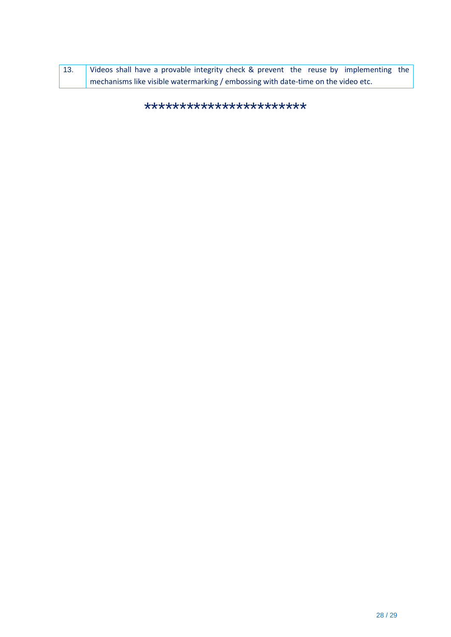| 13. | Videos shall have a provable integrity check & prevent the reuse by implementing the |
|-----|--------------------------------------------------------------------------------------|
|     | mechanisms like visible watermarking / embossing with date-time on the video etc.    |

\*\*\*\*\*\*\*\*\*\*\*\*\*\*\*\*\*\*\*\*\*\*\*